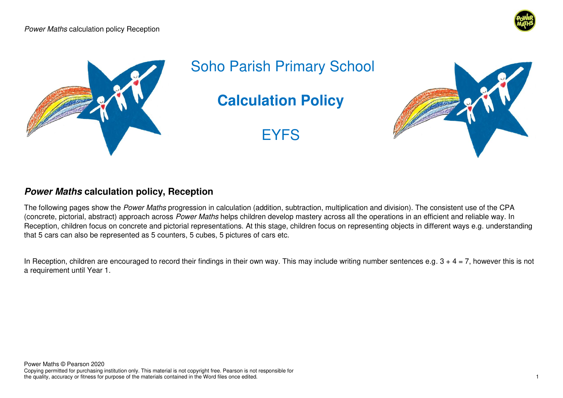



Soho Parish Primary School

**Calculation Policy** 

EYFS



## **Power Maths calculation policy, Reception**

The following pages show the Power Maths progression in calculation (addition, subtraction, multiplication and division). The consistent use of the CPA (concrete, pictorial, abstract) approach across Power Maths helps children develop mastery across all the operations in an efficient and reliable way. In Reception, children focus on concrete and pictorial representations. At this stage, children focus on representing objects in different ways e.g. understanding that 5 cars can also be represented as 5 counters, 5 cubes, 5 pictures of cars etc.

In Reception, children are encouraged to record their findings in their own way. This may include writing number sentences e.g.  $3 + 4 = 7$ , however this is not a requirement until Year 1.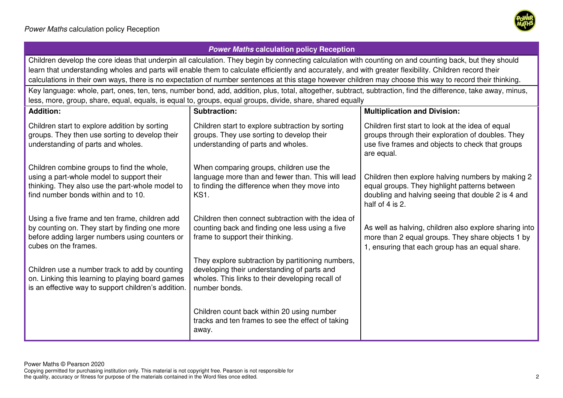

## **Power Maths calculation policy Reception**  Children develop the core ideas that underpin all calculation. They begin by connecting calculation with counting on and counting back, but they should learn that understanding wholes and parts will enable them to calculate efficiently and accurately, and with greater flexibility. Children record their calculations in their own ways, there is no expectation of number sentences at this stage however children may choose this way to record their thinking. Key language: whole, part, ones, ten, tens, number bond, add, addition, plus, total, altogether, subtract, subtraction, find the difference, take away, minus, less, more, group, share, equal, equals, is equal to, groups, equal groups, divide, share, shared equally **Addition:** Children start to explore addition by sorting groups. They then use sorting to develop their understanding of parts and wholes. Children combine groups to find the whole, using a part-whole model to support their thinking. They also use the part-whole model to find number bonds within and to 10. Using a five frame and ten frame, children add by counting on. They start by finding one more before adding larger numbers using counters or cubes on the frames. Children use a number track to add by counting on. Linking this learning to playing board games is an effective way to support children's addition. **Subtraction:**  Children start to explore subtraction by sorting groups. They use sorting to develop their understanding of parts and wholes. When comparing groups, children use the language more than and fewer than. This will lead to finding the difference when they move into KS1. Children then connect subtraction with the idea of counting back and finding one less using a five frame to support their thinking. They explore subtraction by partitioning numbers, developing their understanding of parts and wholes. This links to their developing recall of number bonds. Children count back within 20 using number tracks and ten frames to see the effect of taking away. **Multiplication and Division:** Children first start to look at the idea of equal groups through their exploration of doubles. They use five frames and objects to check that groups are equal. Children then explore halving numbers by making 2 equal groups. They highlight patterns between doubling and halving seeing that double 2 is 4 and half of 4 is 2. As well as halving, children also explore sharing into more than 2 equal groups. They share objects 1 by 1, ensuring that each group has an equal share.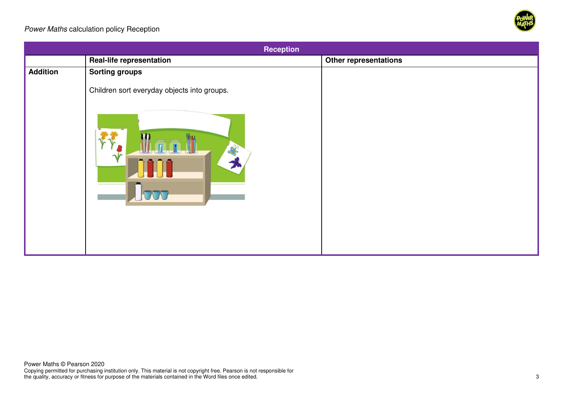

| <b>Reception</b> |                                                                 |                              |
|------------------|-----------------------------------------------------------------|------------------------------|
|                  | <b>Real-life representation</b>                                 | <b>Other representations</b> |
| Addition         | <b>Sorting groups</b>                                           |                              |
|                  | Children sort everyday objects into groups.<br>$\sim 2c$<br>TOO |                              |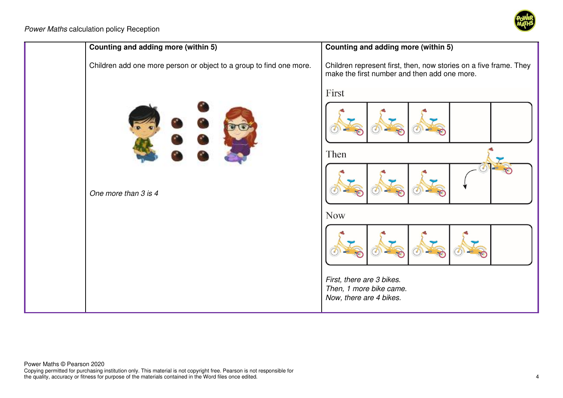

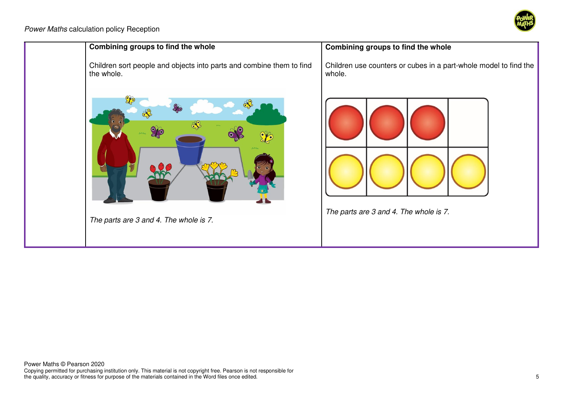

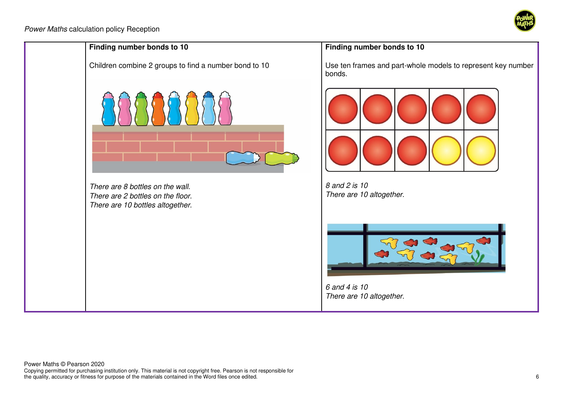

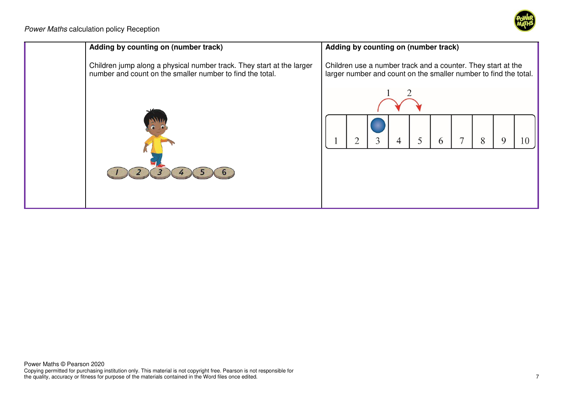

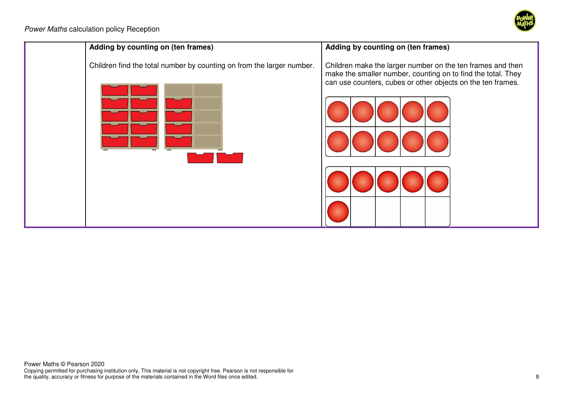

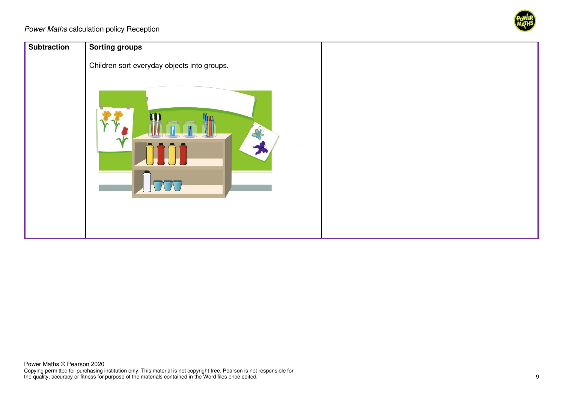

| Subtraction | <b>Sorting groups</b>                                                     |  |
|-------------|---------------------------------------------------------------------------|--|
|             | Children sort everyday objects into groups.<br>$\frac{1}{2}$<br>$\Lambda$ |  |
|             |                                                                           |  |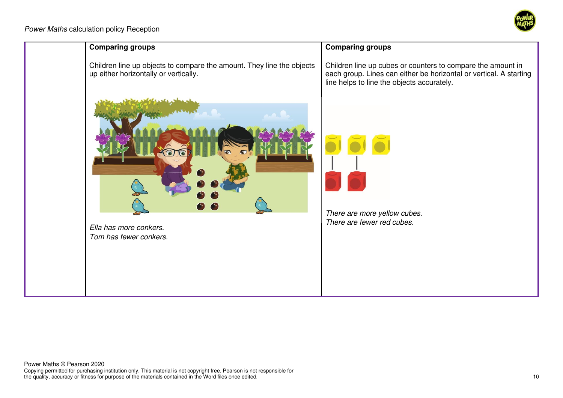

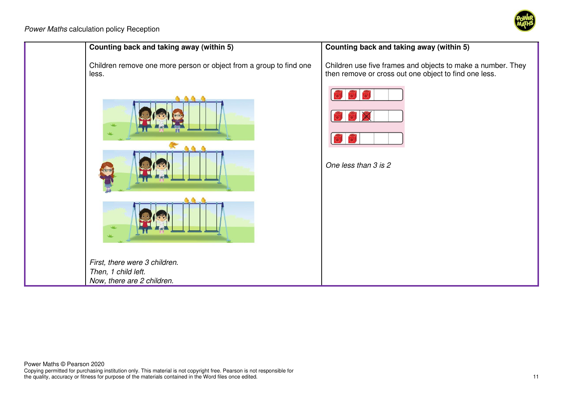

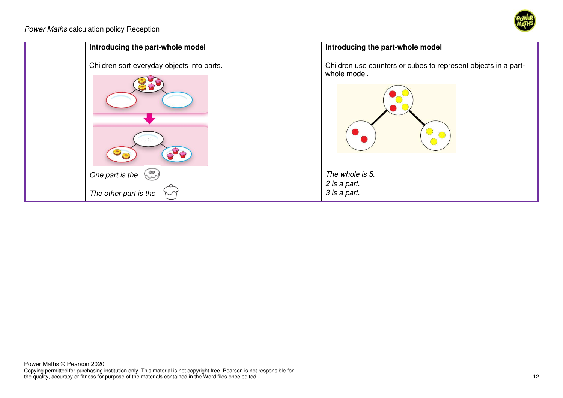

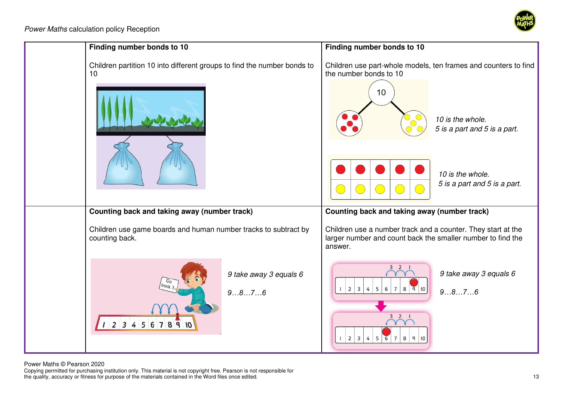



Power Maths © Pearson 2020

Copying permitted for purchasing institution only. This material is not copyright free. Pearson is not responsible for the quality, accuracy or fitness for purpose of the materials contained in the Word files once edited. 13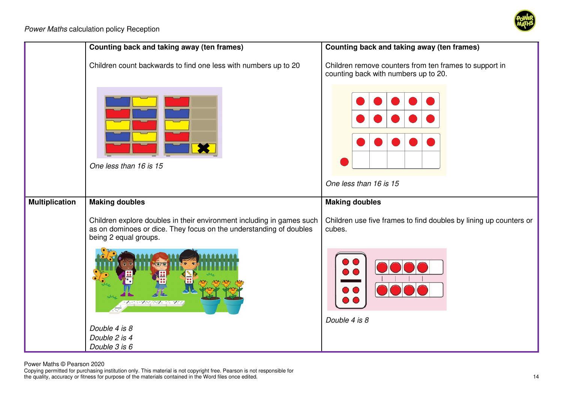



Power Maths © Pearson 2020

Copying permitted for purchasing institution only. This material is not copyright free. Pearson is not responsible for the quality, accuracy or fitness for purpose of the materials contained in the Word files once edited. 14 and the vertext of the materials contained in the Word files once edited.